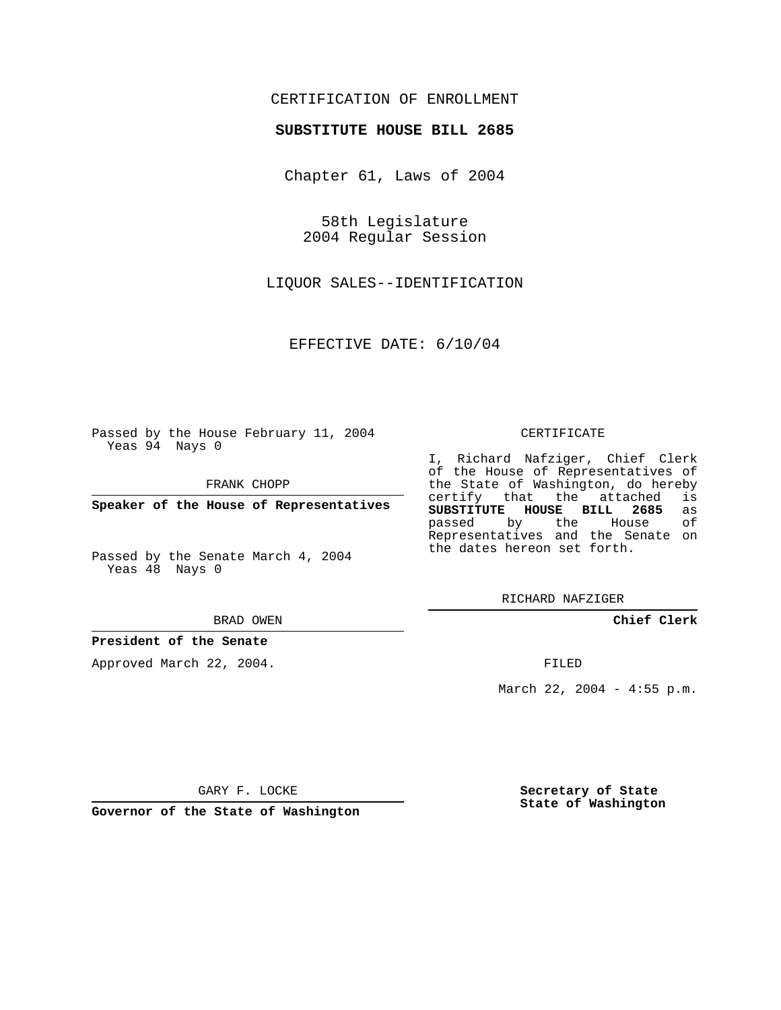## CERTIFICATION OF ENROLLMENT

#### **SUBSTITUTE HOUSE BILL 2685**

Chapter 61, Laws of 2004

58th Legislature 2004 Regular Session

LIQUOR SALES--IDENTIFICATION

EFFECTIVE DATE: 6/10/04

Passed by the House February 11, 2004 Yeas 94 Nays 0

FRANK CHOPP

**Speaker of the House of Representatives**

Passed by the Senate March 4, 2004 Yeas 48 Nays 0

#### BRAD OWEN

### **President of the Senate**

Approved March 22, 2004.

#### CERTIFICATE

I, Richard Nafziger, Chief Clerk of the House of Representatives of the State of Washington, do hereby<br>certify that the attached is certify that the attached **SUBSTITUTE HOUSE BILL 2685** as passed by the House Representatives and the Senate on the dates hereon set forth.

RICHARD NAFZIGER

**Chief Clerk**

FILED

March 22, 2004 - 4:55 p.m.

GARY F. LOCKE

**Governor of the State of Washington**

**Secretary of State State of Washington**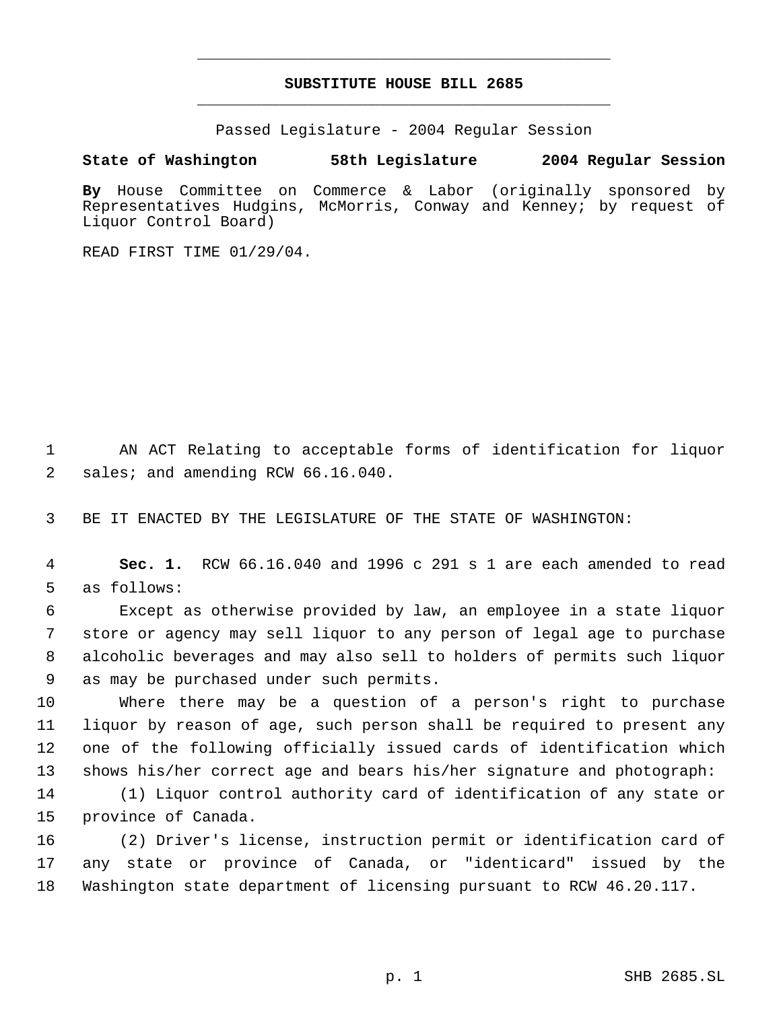# **SUBSTITUTE HOUSE BILL 2685** \_\_\_\_\_\_\_\_\_\_\_\_\_\_\_\_\_\_\_\_\_\_\_\_\_\_\_\_\_\_\_\_\_\_\_\_\_\_\_\_\_\_\_\_\_

\_\_\_\_\_\_\_\_\_\_\_\_\_\_\_\_\_\_\_\_\_\_\_\_\_\_\_\_\_\_\_\_\_\_\_\_\_\_\_\_\_\_\_\_\_

Passed Legislature - 2004 Regular Session

### **State of Washington 58th Legislature 2004 Regular Session**

**By** House Committee on Commerce & Labor (originally sponsored by Representatives Hudgins, McMorris, Conway and Kenney; by request of Liquor Control Board)

READ FIRST TIME 01/29/04.

 AN ACT Relating to acceptable forms of identification for liquor 2 sales; and amending RCW 66.16.040.

BE IT ENACTED BY THE LEGISLATURE OF THE STATE OF WASHINGTON:

 **Sec. 1.** RCW 66.16.040 and 1996 c 291 s 1 are each amended to read as follows:

 Except as otherwise provided by law, an employee in a state liquor store or agency may sell liquor to any person of legal age to purchase alcoholic beverages and may also sell to holders of permits such liquor as may be purchased under such permits.

 Where there may be a question of a person's right to purchase liquor by reason of age, such person shall be required to present any one of the following officially issued cards of identification which shows his/her correct age and bears his/her signature and photograph:

 (1) Liquor control authority card of identification of any state or province of Canada.

 (2) Driver's license, instruction permit or identification card of any state or province of Canada, or "identicard" issued by the Washington state department of licensing pursuant to RCW 46.20.117.